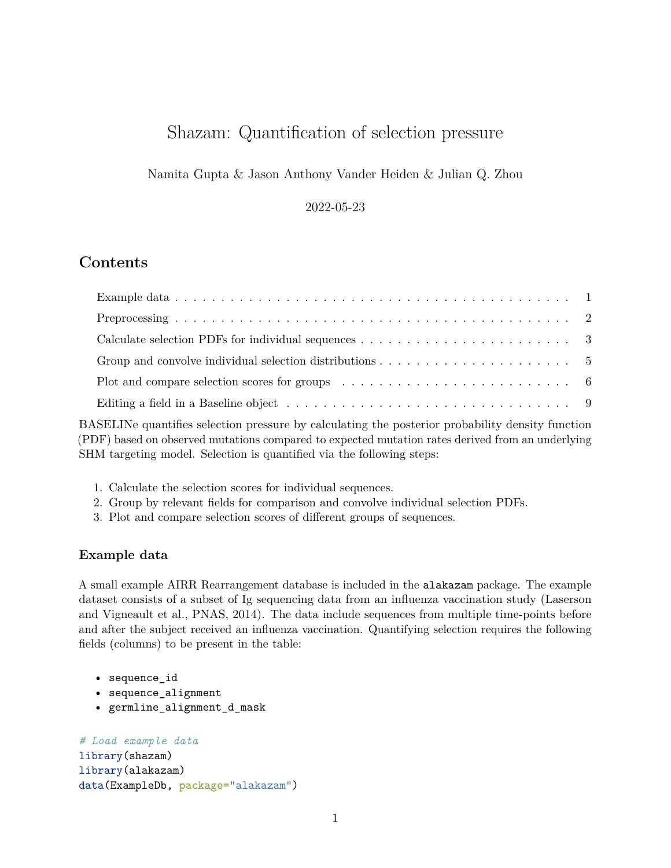# Shazam: Quantification of selection pressure

Namita Gupta & Jason Anthony Vander Heiden & Julian Q. Zhou

2022-05-23

# **Contents**

| Group and convolve individual selection distributions $\dots \dots \dots \dots \dots \dots \dots \dots$              |  |
|----------------------------------------------------------------------------------------------------------------------|--|
| Plot and compare selection scores for groups $\dots \dots \dots \dots \dots \dots \dots \dots \dots \dots$           |  |
| Editing a field in a Baseline object $\dots \dots \dots \dots \dots \dots \dots \dots \dots \dots \dots \dots \dots$ |  |

BASELINe quantifies selection pressure by calculating the posterior probability density function (PDF) based on observed mutations compared to expected mutation rates derived from an underlying SHM targeting model. Selection is quantified via the following steps:

- 1. Calculate the selection scores for individual sequences.
- 2. Group by relevant fields for comparison and convolve individual selection PDFs.
- 3. Plot and compare selection scores of different groups of sequences.

#### <span id="page-0-0"></span>**Example data**

A small example AIRR Rearrangement database is included in the alakazam package. The example dataset consists of a subset of Ig sequencing data from an influenza vaccination study (Laserson and Vigneault et al., PNAS, 2014). The data include sequences from multiple time-points before and after the subject received an influenza vaccination. Quantifying selection requires the following fields (columns) to be present in the table:

- sequence\_id
- sequence\_alignment
- germline\_alignment\_d\_mask

```
# Load example data
library(shazam)
library(alakazam)
data(ExampleDb, package="alakazam")
```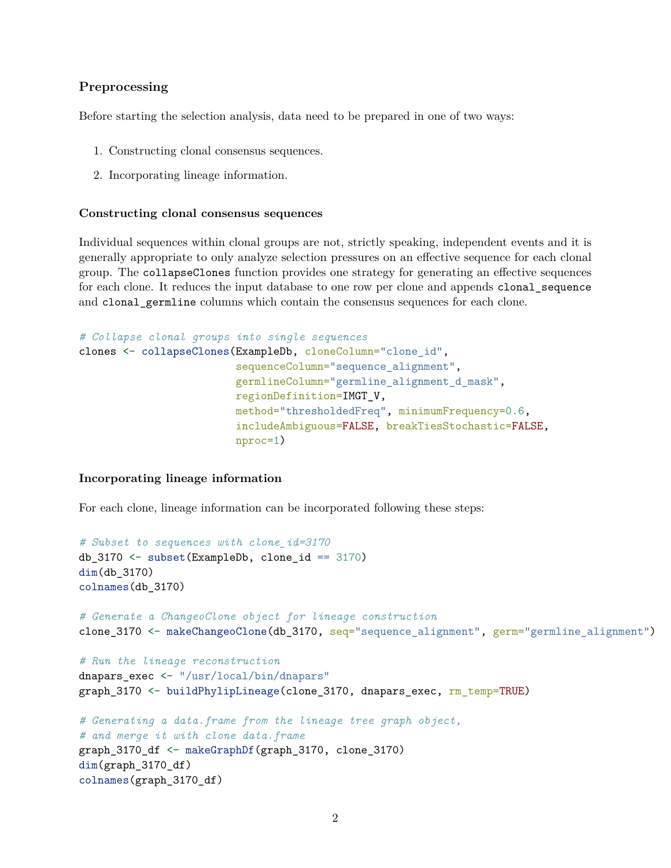## <span id="page-1-0"></span>**Preprocessing**

Before starting the selection analysis, data need to be prepared in one of two ways:

- 1. Constructing clonal consensus sequences.
- 2. Incorporating lineage information.

#### **Constructing clonal consensus sequences**

Individual sequences within clonal groups are not, strictly speaking, independent events and it is generally appropriate to only analyze selection pressures on an effective sequence for each clonal group. The collapseClones function provides one strategy for generating an effective sequences for each clone. It reduces the input database to one row per clone and appends clonal\_sequence and clonal\_germline columns which contain the consensus sequences for each clone.

```
# Collapse clonal groups into single sequences
clones <- collapseClones(ExampleDb, cloneColumn="clone_id",
                         sequenceColumn="sequence_alignment",
                         germlineColumn="germline_alignment_d_mask",
                         regionDefinition=IMGT_V,
                         method="thresholdedFreq", minimumFrequency=0.6,
                         includeAmbiguous=FALSE, breakTiesStochastic=FALSE,
                         nproc=1)
```
#### **Incorporating lineage information**

For each clone, lineage information can be incorporated following these steps:

```
# Subset to sequences with clone_id=3170
db_3170 \leftarrow subset(ExampleDb, clone_id == 3170)
dim(db_3170)
colnames(db_3170)
# Generate a ChangeoClone object for lineage construction
clone_3170 <- makeChangeoClone(db_3170, seq="sequence_alignment", germ="germline_alignment")
# Run the lineage reconstruction
dnapars exec <- "/usr/local/bin/dnapars"
graph_3170 <- buildPhylipLineage(clone_3170, dnapars_exec, rm_temp=TRUE)
# Generating a data.frame from the lineage tree graph object,
# and merge it with clone data.frame
graph_3170_df <- makeGraphDf(graph_3170, clone_3170)
dim(graph_3170_df)
colnames(graph_3170_df)
```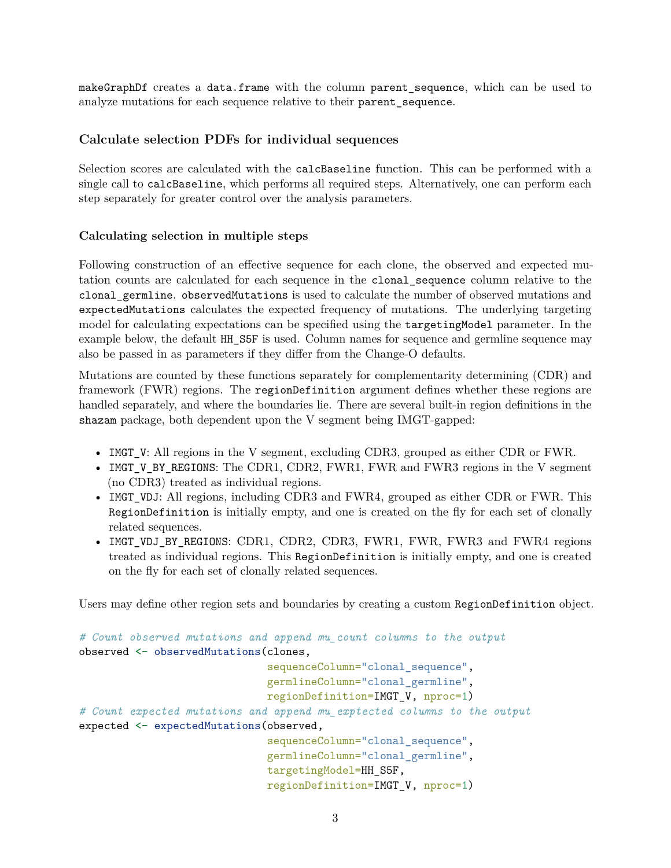makeGraphDf creates a data.frame with the column parent\_sequence, which can be used to analyze mutations for each sequence relative to their parent\_sequence.

# <span id="page-2-0"></span>**Calculate selection PDFs for individual sequences**

Selection scores are calculated with the calcBaseline function. This can be performed with a single call to calcBaseline, which performs all required steps. Alternatively, one can perform each step separately for greater control over the analysis parameters.

# **Calculating selection in multiple steps**

Following construction of an effective sequence for each clone, the observed and expected mutation counts are calculated for each sequence in the clonal\_sequence column relative to the clonal\_germline. observedMutations is used to calculate the number of observed mutations and expectedMutations calculates the expected frequency of mutations. The underlying targeting model for calculating expectations can be specified using the targetingModel parameter. In the example below, the default HH\_S5F is used. Column names for sequence and germline sequence may also be passed in as parameters if they differ from the Change-O defaults.

Mutations are counted by these functions separately for complementarity determining (CDR) and framework (FWR) regions. The regionDefinition argument defines whether these regions are handled separately, and where the boundaries lie. There are several built-in region definitions in the shazam package, both dependent upon the V segment being IMGT-gapped:

- IMGT\_V: All regions in the V segment, excluding CDR3, grouped as either CDR or FWR.
- IMGT\_V\_BY\_REGIONS: The CDR1, CDR2, FWR1, FWR and FWR3 regions in the V segment (no CDR3) treated as individual regions.
- IMGT VDJ: All regions, including CDR3 and FWR4, grouped as either CDR or FWR. This RegionDefinition is initially empty, and one is created on the fly for each set of clonally related sequences.
- IMGT\_VDJ\_BY\_REGIONS: CDR1, CDR2, CDR3, FWR1, FWR, FWR3 and FWR4 regions treated as individual regions. This RegionDefinition is initially empty, and one is created on the fly for each set of clonally related sequences.

Users may define other region sets and boundaries by creating a custom RegionDefinition object.

```
# Count observed mutations and append mu_count columns to the output
observed <- observedMutations(clones,
                              sequenceColumn="clonal_sequence",
                              germlineColumn="clonal_germline",
                              regionDefinition=IMGT_V, nproc=1)
# Count expected mutations and append mu_exptected columns to the output
expected <- expectedMutations(observed,
                              sequenceColumn="clonal_sequence",
                              germlineColumn="clonal_germline",
                              targetingModel=HH_S5F,
                              regionDefinition=IMGT_V, nproc=1)
```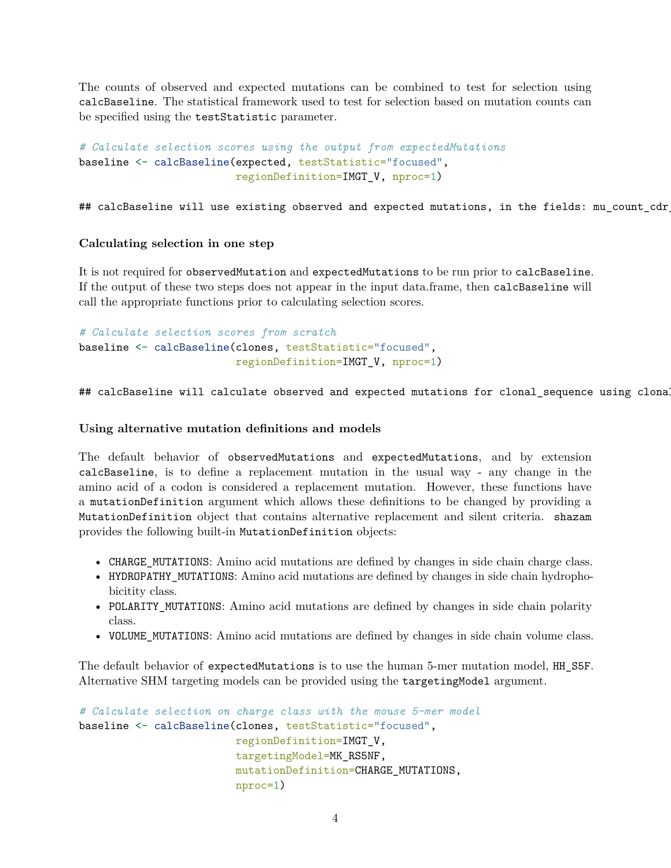The counts of observed and expected mutations can be combined to test for selection using calcBaseline. The statistical framework used to test for selection based on mutation counts can be specified using the testStatistic parameter.

```
# Calculate selection scores using the output from expectedMutations
baseline <- calcBaseline(expected, testStatistic="focused",
                         regionDefinition=IMGT_V, nproc=1)
```
## calcBaseline will use existing observed and expected mutations, in the fields: mu\_count\_cdr

#### **Calculating selection in one step**

It is not required for observedMutation and expectedMutations to be run prior to calcBaseline. If the output of these two steps does not appear in the input data.frame, then calcBaseline will call the appropriate functions prior to calculating selection scores.

*# Calculate selection scores from scratch* baseline <- calcBaseline(clones, testStatistic="focused", regionDefinition=IMGT\_V, nproc=1)

## calcBaseline will calculate observed and expected mutations for clonal\_sequence using clona

#### **Using alternative mutation definitions and models**

The default behavior of observedMutations and expectedMutations, and by extension calcBaseline, is to define a replacement mutation in the usual way - any change in the amino acid of a codon is considered a replacement mutation. However, these functions have a mutationDefinition argument which allows these definitions to be changed by providing a MutationDefinition object that contains alternative replacement and silent criteria. shazam provides the following built-in MutationDefinition objects:

- CHARGE\_MUTATIONS: Amino acid mutations are defined by changes in side chain charge class.
- HYDROPATHY\_MUTATIONS: Amino acid mutations are defined by changes in side chain hydrophobicitity class.
- POLARITY\_MUTATIONS: Amino acid mutations are defined by changes in side chain polarity class.
- VOLUME MUTATIONS: Amino acid mutations are defined by changes in side chain volume class.

The default behavior of expectedMutations is to use the human 5-mer mutation model, HH\_S5F. Alternative SHM targeting models can be provided using the targetingModel argument.

```
# Calculate selection on charge class with the mouse 5-mer model
baseline <- calcBaseline(clones, testStatistic="focused",
                         regionDefinition=IMGT_V,
                         targetingModel=MK_RS5NF,
                         mutationDefinition=CHARGE_MUTATIONS,
                         nproc=1)
```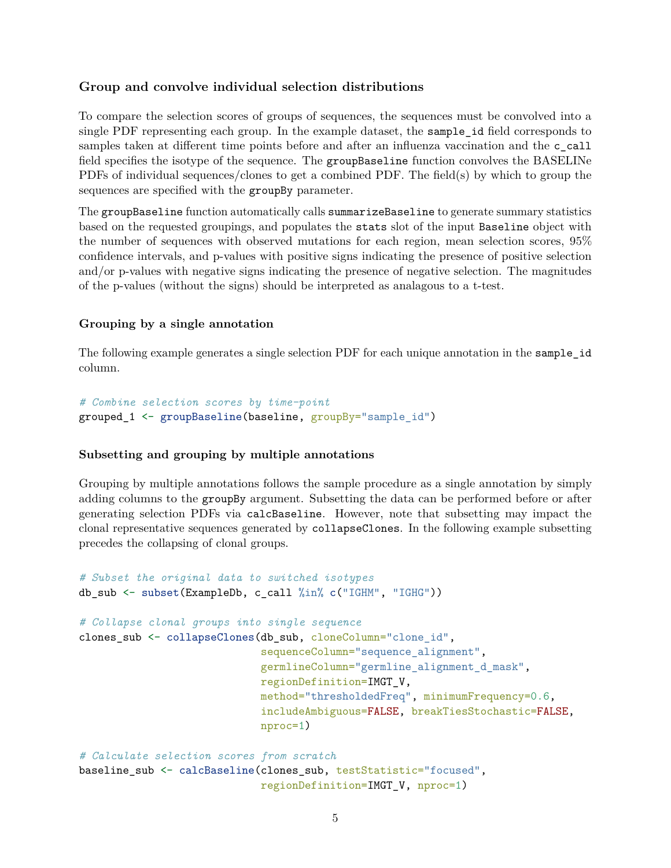## <span id="page-4-0"></span>**Group and convolve individual selection distributions**

To compare the selection scores of groups of sequences, the sequences must be convolved into a single PDF representing each group. In the example dataset, the sample\_id field corresponds to samples taken at different time points before and after an influenza vaccination and the c call field specifies the isotype of the sequence. The groupBaseline function convolves the BASELINe PDFs of individual sequences/clones to get a combined PDF. The field(s) by which to group the sequences are specified with the groupBy parameter.

The groupBaseline function automatically calls summarizeBaseline to generate summary statistics based on the requested groupings, and populates the stats slot of the input Baseline object with the number of sequences with observed mutations for each region, mean selection scores, 95% confidence intervals, and p-values with positive signs indicating the presence of positive selection and/or p-values with negative signs indicating the presence of negative selection. The magnitudes of the p-values (without the signs) should be interpreted as analagous to a t-test.

#### **Grouping by a single annotation**

The following example generates a single selection PDF for each unique annotation in the sample id column.

```
# Combine selection scores by time-point
grouped 1 <- groupBaseline(baseline, groupBy="sample id")
```
#### **Subsetting and grouping by multiple annotations**

Grouping by multiple annotations follows the sample procedure as a single annotation by simply adding columns to the groupBy argument. Subsetting the data can be performed before or after generating selection PDFs via calcBaseline. However, note that subsetting may impact the clonal representative sequences generated by collapseClones. In the following example subsetting precedes the collapsing of clonal groups.

```
# Subset the original data to switched isotypes
db sub \leq subset(ExampleDb, c call \frac{\pi}{2}in\frac{\pi}{2} c("IGHM", "IGHG"))
# Collapse clonal groups into single sequence
clones_sub <- collapseClones(db_sub, cloneColumn="clone_id",
                               sequenceColumn="sequence_alignment",
                               germlineColumn="germline_alignment_d_mask",
                               regionDefinition=IMGT_V,
                               method="thresholdedFreq", minimumFrequency=0.6,
                               includeAmbiguous=FALSE, breakTiesStochastic=FALSE,
                               nproc=1)
# Calculate selection scores from scratch
```

```
baseline_sub <- calcBaseline(clones_sub, testStatistic="focused",
                             regionDefinition=IMGT_V, nproc=1)
```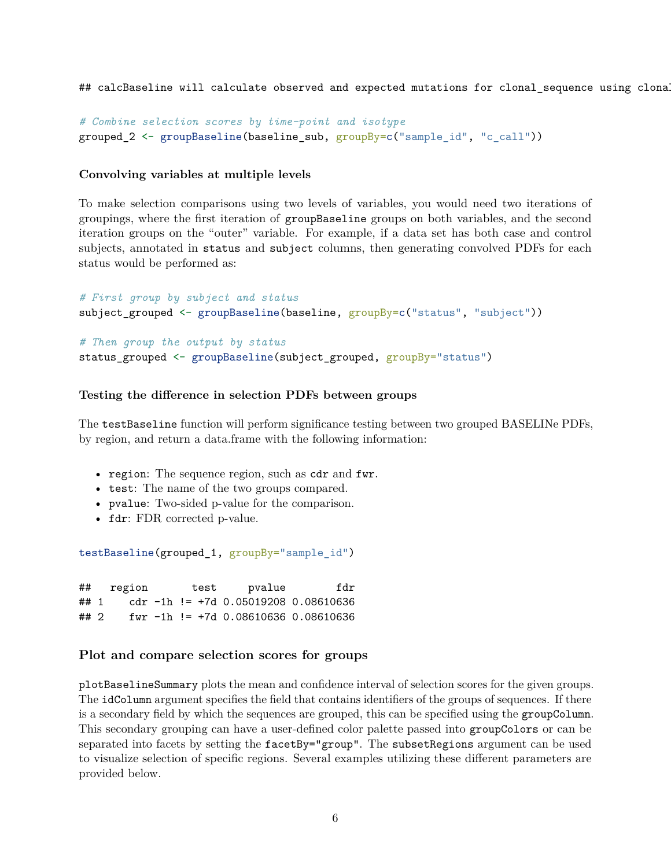## calcBaseline will calculate observed and expected mutations for clonal\_sequence using clona

```
# Combine selection scores by time-point and isotype
grouped_2 <- groupBaseline(baseline_sub, groupBy=c("sample_id", "c_call"))
```
#### **Convolving variables at multiple levels**

To make selection comparisons using two levels of variables, you would need two iterations of groupings, where the first iteration of groupBaseline groups on both variables, and the second iteration groups on the "outer" variable. For example, if a data set has both case and control subjects, annotated in status and subject columns, then generating convolved PDFs for each status would be performed as:

```
# First group by subject and status
subject_grouped <- groupBaseline(baseline, groupBy=c("status", "subject"))
# Then group the output by status
status_grouped <- groupBaseline(subject_grouped, groupBy="status")
```
#### **Testing the difference in selection PDFs between groups**

The testBaseline function will perform significance testing between two grouped BASELINe PDFs, by region, and return a data.frame with the following information:

- region: The sequence region, such as  $cdr$  and  $fwr$ .
- test: The name of the two groups compared.
- pvalue: Two-sided p-value for the comparison.
- fdr: FDR corrected p-value.

```
testBaseline(grouped_1, groupBy="sample_id")
```
## region test pvalue fdr ## 1 cdr -1h != +7d 0.05019208 0.08610636 ## 2 fwr -1h != +7d 0.08610636 0.08610636

#### <span id="page-5-0"></span>**Plot and compare selection scores for groups**

plotBaselineSummary plots the mean and confidence interval of selection scores for the given groups. The idColumn argument specifies the field that contains identifiers of the groups of sequences. If there is a secondary field by which the sequences are grouped, this can be specified using the groupColumn. This secondary grouping can have a user-defined color palette passed into groupColors or can be separated into facets by setting the facetBy="group". The subsetRegions argument can be used to visualize selection of specific regions. Several examples utilizing these different parameters are provided below.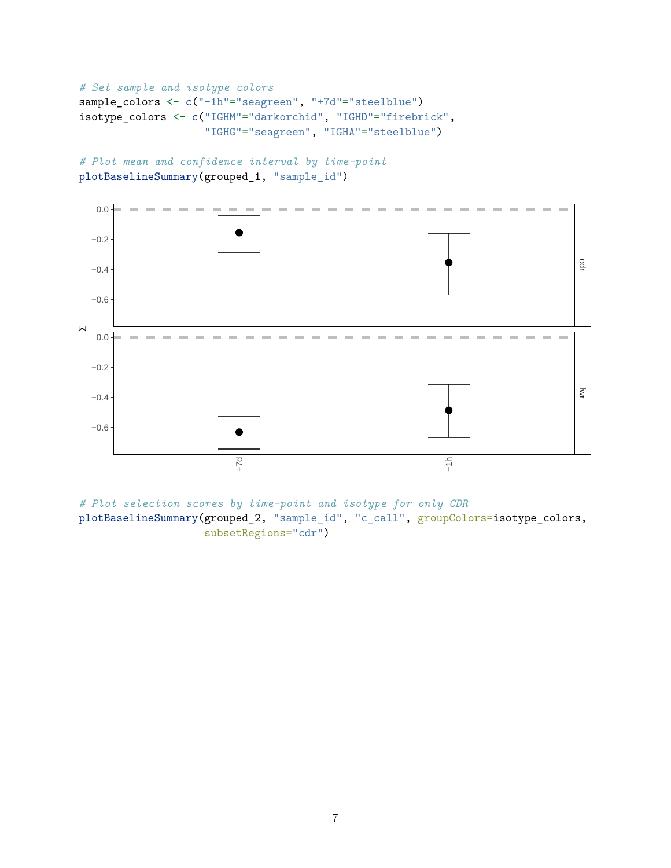```
# Set sample and isotype colors
sample_colors <- c("-1h"="seagreen", "+7d"="steelblue")
isotype_colors <- c("IGHM"="darkorchid", "IGHD"="firebrick",
                    "IGHG"="seagreen", "IGHA"="steelblue")
```
*# Plot mean and confidence interval by time-point* plotBaselineSummary(grouped\_1, "sample\_id")



*# Plot selection scores by time-point and isotype for only CDR* plotBaselineSummary(grouped\_2, "sample\_id", "c\_call", groupColors=isotype\_colors, subsetRegions="cdr")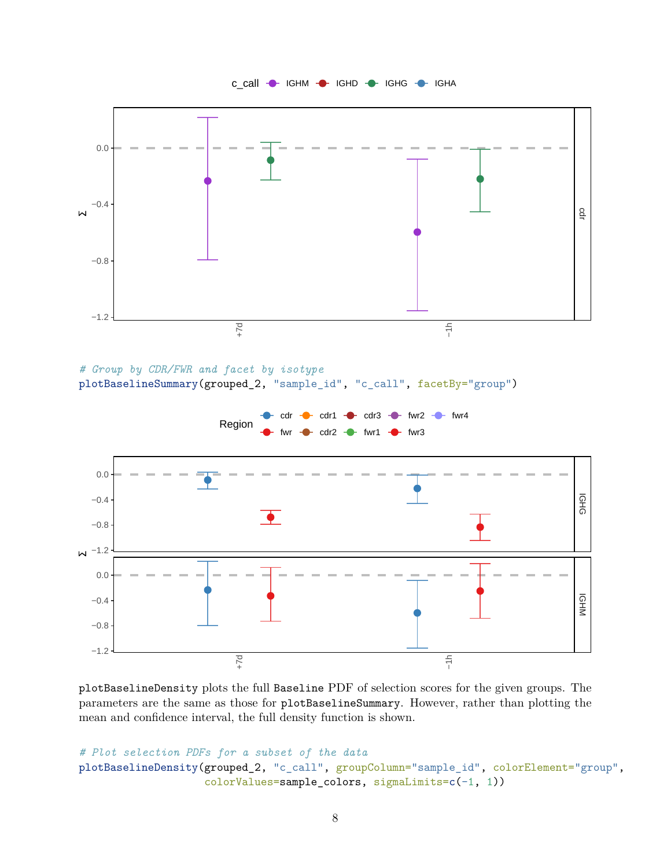

*# Group by CDR/FWR and facet by isotype*

plotBaselineSummary(grouped\_2, "sample\_id", "c\_call", facetBy="group")



plotBaselineDensity plots the full Baseline PDF of selection scores for the given groups. The parameters are the same as those for plotBaselineSummary. However, rather than plotting the mean and confidence interval, the full density function is shown.

```
# Plot selection PDFs for a subset of the data
plotBaselineDensity(grouped_2, "c_call", groupColumn="sample_id", colorElement="group",
                    colorValues=sample_colors, sigmaLimits=c(-1, 1))
```